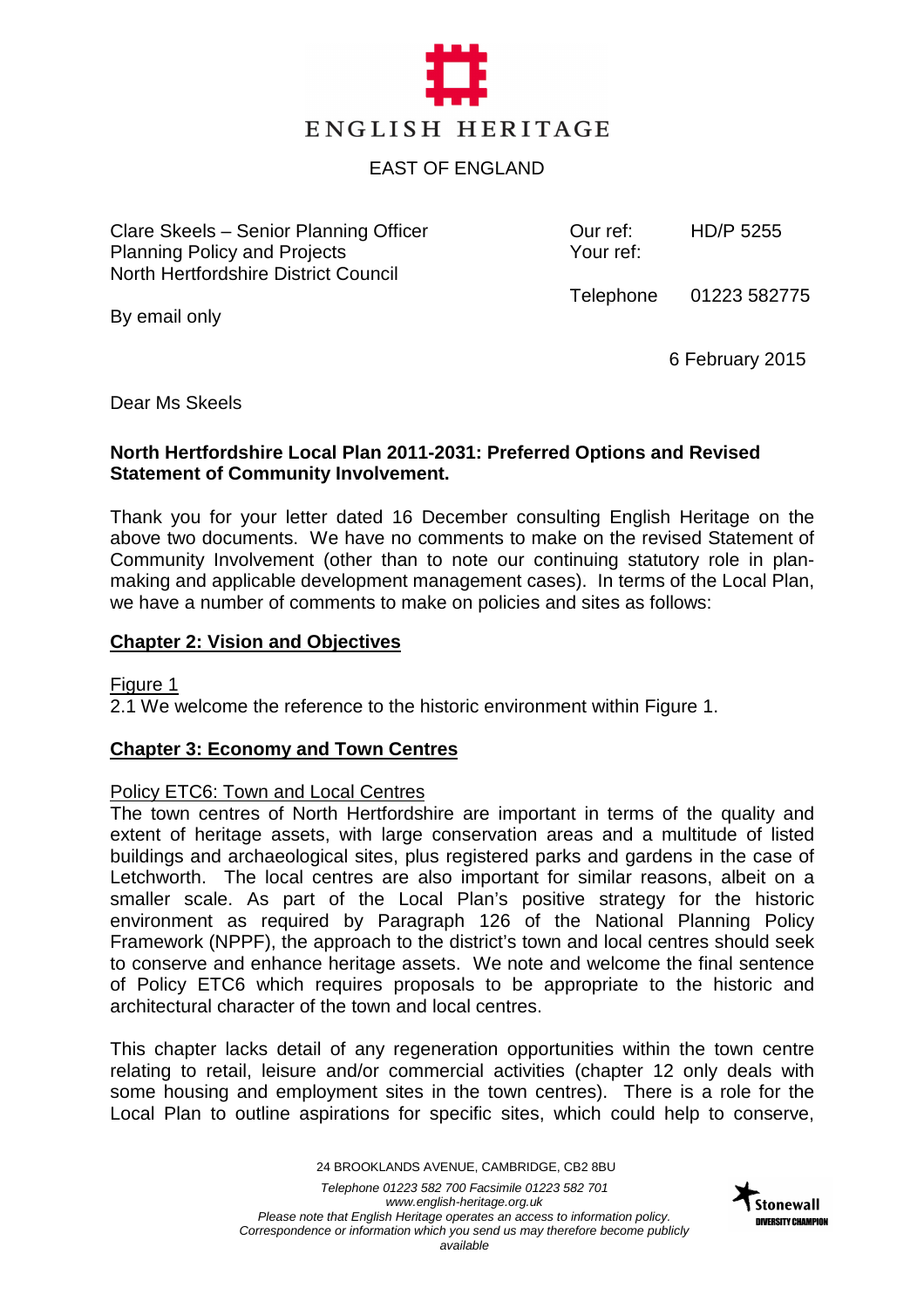

## EAST OF ENGLAND

Clare Skeels – Senior Planning Officer Planning Policy and Projects North Hertfordshire District Council

Our ref: Your ref:

HD/P 5255

Telephone 01223 582775

By email only

6 February 2015

Dear Ms Skeels

## **North Hertfordshire Local Plan 2011-2031: Preferred Options and Revised Statement of Community Involvement.**

Thank you for your letter dated 16 December consulting English Heritage on the above two documents. We have no comments to make on the revised Statement of Community Involvement (other than to note our continuing statutory role in planmaking and applicable development management cases). In terms of the Local Plan, we have a number of comments to make on policies and sites as follows:

#### **Chapter 2: Vision and Objectives**

Figure 1

2.1 We welcome the reference to the historic environment within Figure 1.

## **Chapter 3: Economy and Town Centres**

## Policy ETC6: Town and Local Centres

The town centres of North Hertfordshire are important in terms of the quality and extent of heritage assets, with large conservation areas and a multitude of listed buildings and archaeological sites, plus registered parks and gardens in the case of Letchworth. The local centres are also important for similar reasons, albeit on a smaller scale. As part of the Local Plan's positive strategy for the historic environment as required by Paragraph 126 of the National Planning Policy Framework (NPPF), the approach to the district's town and local centres should seek to conserve and enhance heritage assets. We note and welcome the final sentence of Policy ETC6 which requires proposals to be appropriate to the historic and architectural character of the town and local centres.

This chapter lacks detail of any regeneration opportunities within the town centre relating to retail, leisure and/or commercial activities (chapter 12 only deals with some housing and employment sites in the town centres). There is a role for the Local Plan to outline aspirations for specific sites, which could help to conserve,

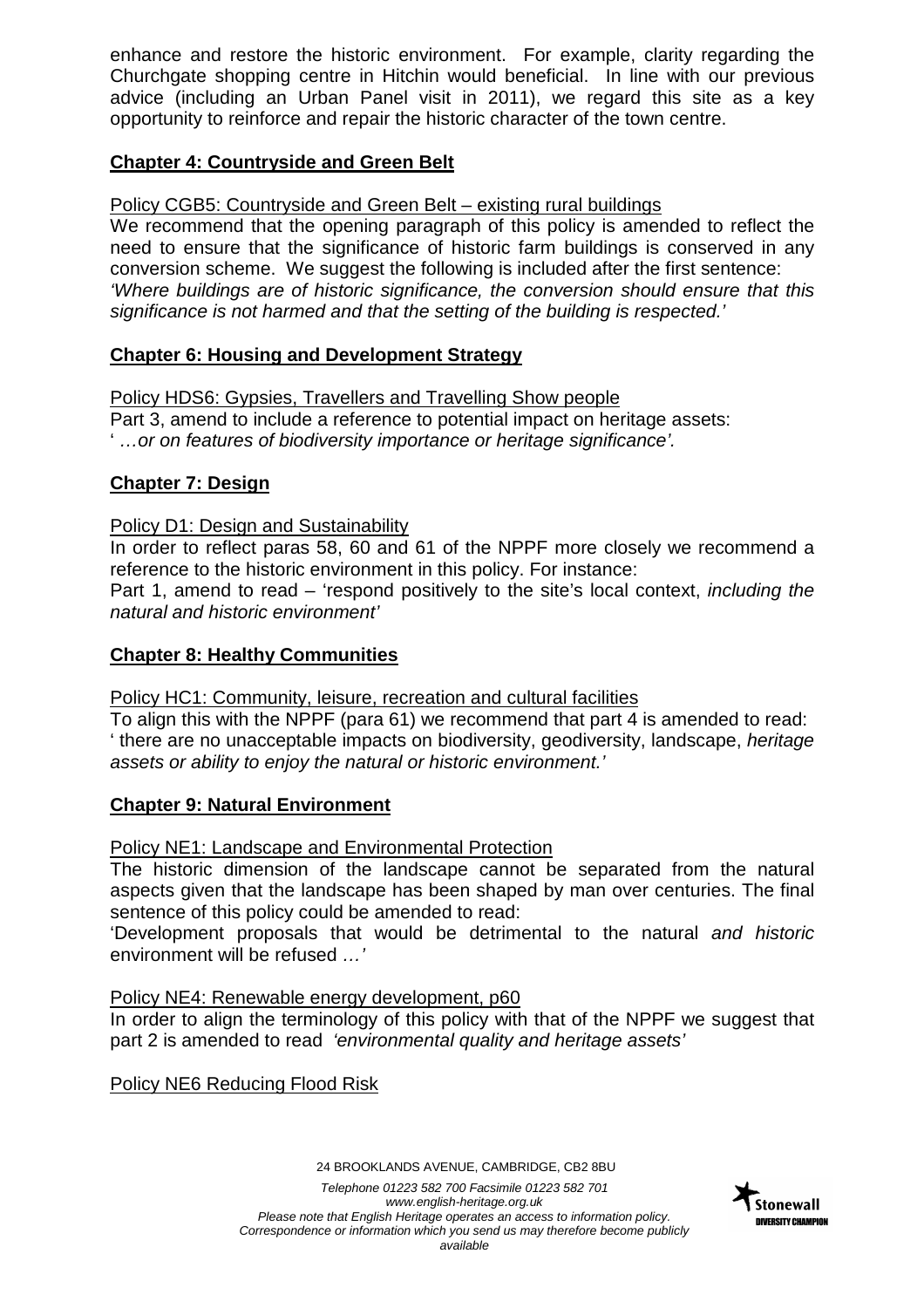enhance and restore the historic environment. For example, clarity regarding the Churchgate shopping centre in Hitchin would beneficial. In line with our previous advice (including an Urban Panel visit in 2011), we regard this site as a key opportunity to reinforce and repair the historic character of the town centre.

# **Chapter 4: Countryside and Green Belt**

# Policy CGB5: Countryside and Green Belt – existing rural buildings

We recommend that the opening paragraph of this policy is amended to reflect the need to ensure that the significance of historic farm buildings is conserved in any conversion scheme. We suggest the following is included after the first sentence: 'Where buildings are of historic significance, the conversion should ensure that this significance is not harmed and that the setting of the building is respected.'

# **Chapter 6: Housing and Development Strategy**

Policy HDS6: Gypsies, Travellers and Travelling Show people Part 3, amend to include a reference to potential impact on heritage assets: ' …or on features of biodiversity importance or heritage significance'.

# **Chapter 7: Design**

# Policy D1: Design and Sustainability

In order to reflect paras 58, 60 and 61 of the NPPF more closely we recommend a reference to the historic environment in this policy. For instance:

Part 1, amend to read – 'respond positively to the site's local context, including the natural and historic environment'

# **Chapter 8: Healthy Communities**

Policy HC1: Community, leisure, recreation and cultural facilities

To align this with the NPPF (para 61) we recommend that part 4 is amended to read: ' there are no unacceptable impacts on biodiversity, geodiversity, landscape, heritage assets or ability to enjoy the natural or historic environment.'

# **Chapter 9: Natural Environment**

Policy NE1: Landscape and Environmental Protection

The historic dimension of the landscape cannot be separated from the natural aspects given that the landscape has been shaped by man over centuries. The final sentence of this policy could be amended to read:

'Development proposals that would be detrimental to the natural and historic environment will be refused …'

# Policy NE4: Renewable energy development, p60

In order to align the terminology of this policy with that of the NPPF we suggest that part 2 is amended to read 'environmental quality and heritage assets'

Policy NE6 Reducing Flood Risk

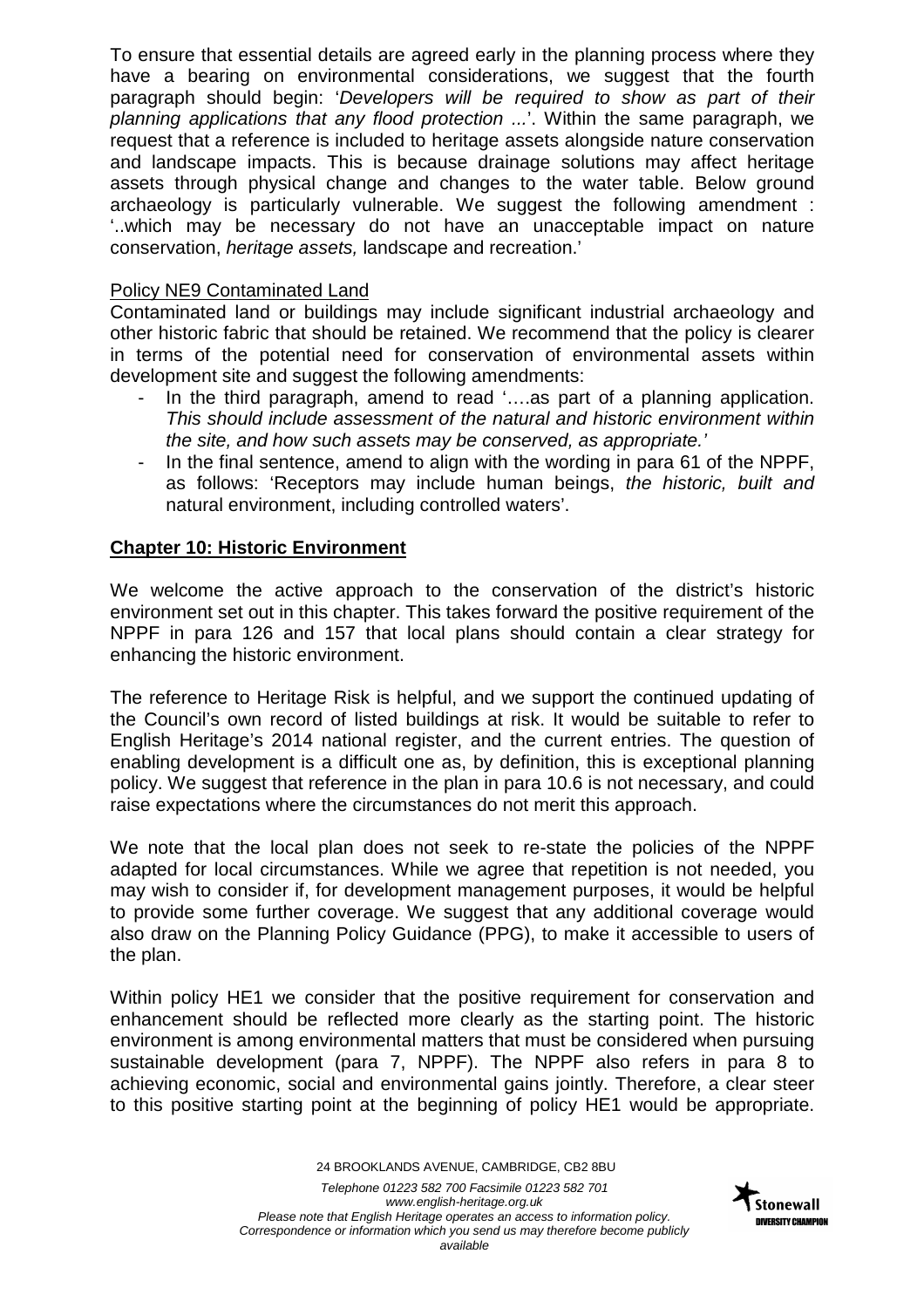To ensure that essential details are agreed early in the planning process where they have a bearing on environmental considerations, we suggest that the fourth paragraph should begin: 'Developers will be required to show as part of their planning applications that any flood protection ...'. Within the same paragraph, we request that a reference is included to heritage assets alongside nature conservation and landscape impacts. This is because drainage solutions may affect heritage assets through physical change and changes to the water table. Below ground archaeology is particularly vulnerable. We suggest the following amendment : '..which may be necessary do not have an unacceptable impact on nature conservation, heritage assets, landscape and recreation.'

## Policy NE9 Contaminated Land

Contaminated land or buildings may include significant industrial archaeology and other historic fabric that should be retained. We recommend that the policy is clearer in terms of the potential need for conservation of environmental assets within development site and suggest the following amendments:

- In the third paragraph, amend to read '....as part of a planning application. This should include assessment of the natural and historic environment within the site, and how such assets may be conserved, as appropriate.'
- In the final sentence, amend to align with the wording in para 61 of the NPPF, as follows: 'Receptors may include human beings, the historic, built and natural environment, including controlled waters'.

## **Chapter 10: Historic Environment**

We welcome the active approach to the conservation of the district's historic environment set out in this chapter. This takes forward the positive requirement of the NPPF in para 126 and 157 that local plans should contain a clear strategy for enhancing the historic environment.

The reference to Heritage Risk is helpful, and we support the continued updating of the Council's own record of listed buildings at risk. It would be suitable to refer to English Heritage's 2014 national register, and the current entries. The question of enabling development is a difficult one as, by definition, this is exceptional planning policy. We suggest that reference in the plan in para 10.6 is not necessary, and could raise expectations where the circumstances do not merit this approach.

We note that the local plan does not seek to re-state the policies of the NPPF adapted for local circumstances. While we agree that repetition is not needed, you may wish to consider if, for development management purposes, it would be helpful to provide some further coverage. We suggest that any additional coverage would also draw on the Planning Policy Guidance (PPG), to make it accessible to users of the plan.

Within policy HE1 we consider that the positive requirement for conservation and enhancement should be reflected more clearly as the starting point. The historic environment is among environmental matters that must be considered when pursuing sustainable development (para 7, NPPF). The NPPF also refers in para 8 to achieving economic, social and environmental gains jointly. Therefore, a clear steer to this positive starting point at the beginning of policy HE1 would be appropriate.

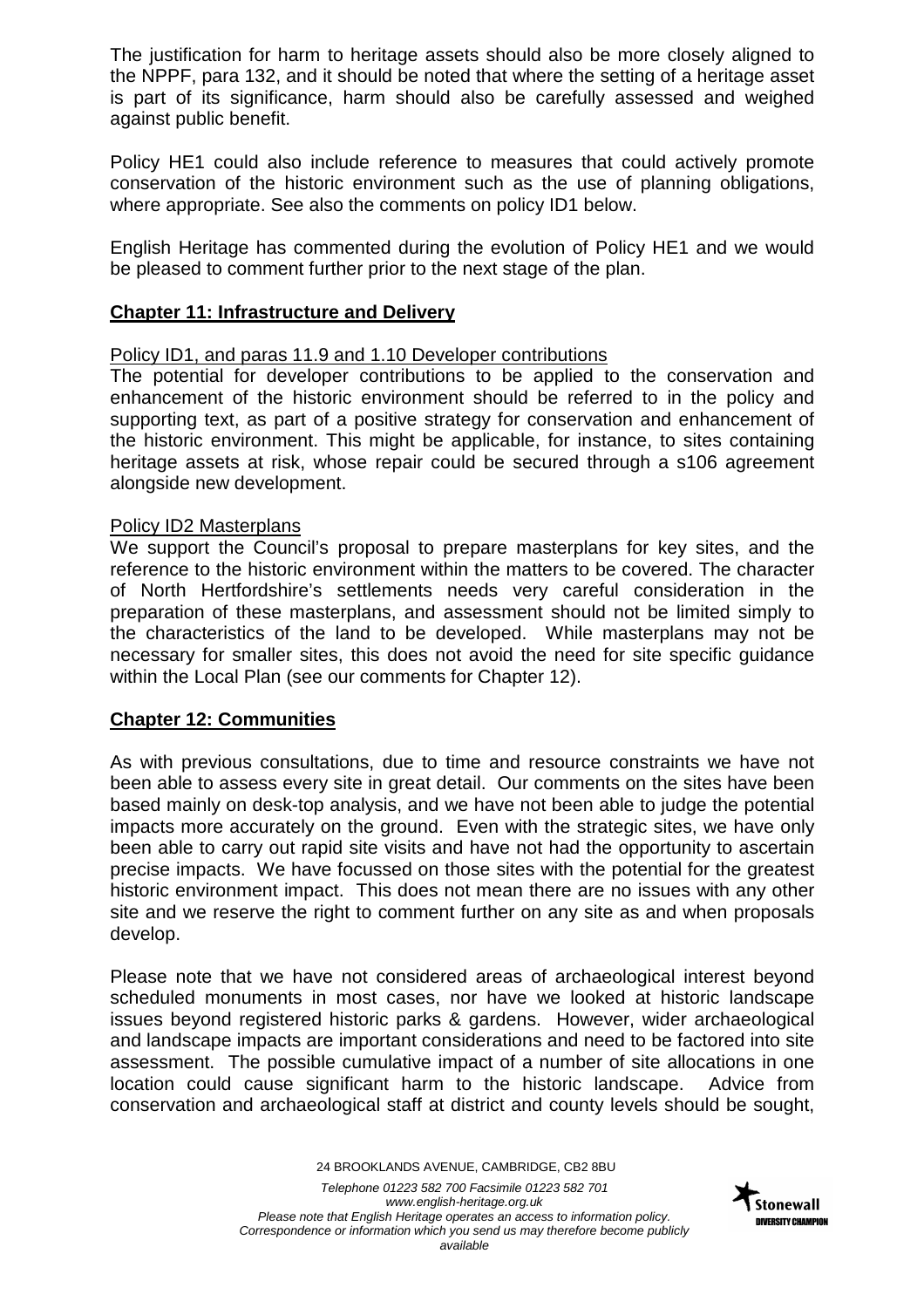The justification for harm to heritage assets should also be more closely aligned to the NPPF, para 132, and it should be noted that where the setting of a heritage asset is part of its significance, harm should also be carefully assessed and weighed against public benefit.

Policy HE1 could also include reference to measures that could actively promote conservation of the historic environment such as the use of planning obligations, where appropriate. See also the comments on policy ID1 below.

English Heritage has commented during the evolution of Policy HE1 and we would be pleased to comment further prior to the next stage of the plan.

## **Chapter 11: Infrastructure and Delivery**

## Policy ID1, and paras 11.9 and 1.10 Developer contributions

The potential for developer contributions to be applied to the conservation and enhancement of the historic environment should be referred to in the policy and supporting text, as part of a positive strategy for conservation and enhancement of the historic environment. This might be applicable, for instance, to sites containing heritage assets at risk, whose repair could be secured through a s106 agreement alongside new development.

#### Policy ID2 Masterplans

We support the Council's proposal to prepare masterplans for key sites, and the reference to the historic environment within the matters to be covered. The character of North Hertfordshire's settlements needs very careful consideration in the preparation of these masterplans, and assessment should not be limited simply to the characteristics of the land to be developed. While masterplans may not be necessary for smaller sites, this does not avoid the need for site specific guidance within the Local Plan (see our comments for Chapter 12).

## **Chapter 12: Communities**

As with previous consultations, due to time and resource constraints we have not been able to assess every site in great detail. Our comments on the sites have been based mainly on desk-top analysis, and we have not been able to judge the potential impacts more accurately on the ground. Even with the strategic sites, we have only been able to carry out rapid site visits and have not had the opportunity to ascertain precise impacts. We have focussed on those sites with the potential for the greatest historic environment impact. This does not mean there are no issues with any other site and we reserve the right to comment further on any site as and when proposals develop.

Please note that we have not considered areas of archaeological interest beyond scheduled monuments in most cases, nor have we looked at historic landscape issues beyond registered historic parks & gardens. However, wider archaeological and landscape impacts are important considerations and need to be factored into site assessment. The possible cumulative impact of a number of site allocations in one location could cause significant harm to the historic landscape. Advice from conservation and archaeological staff at district and county levels should be sought,

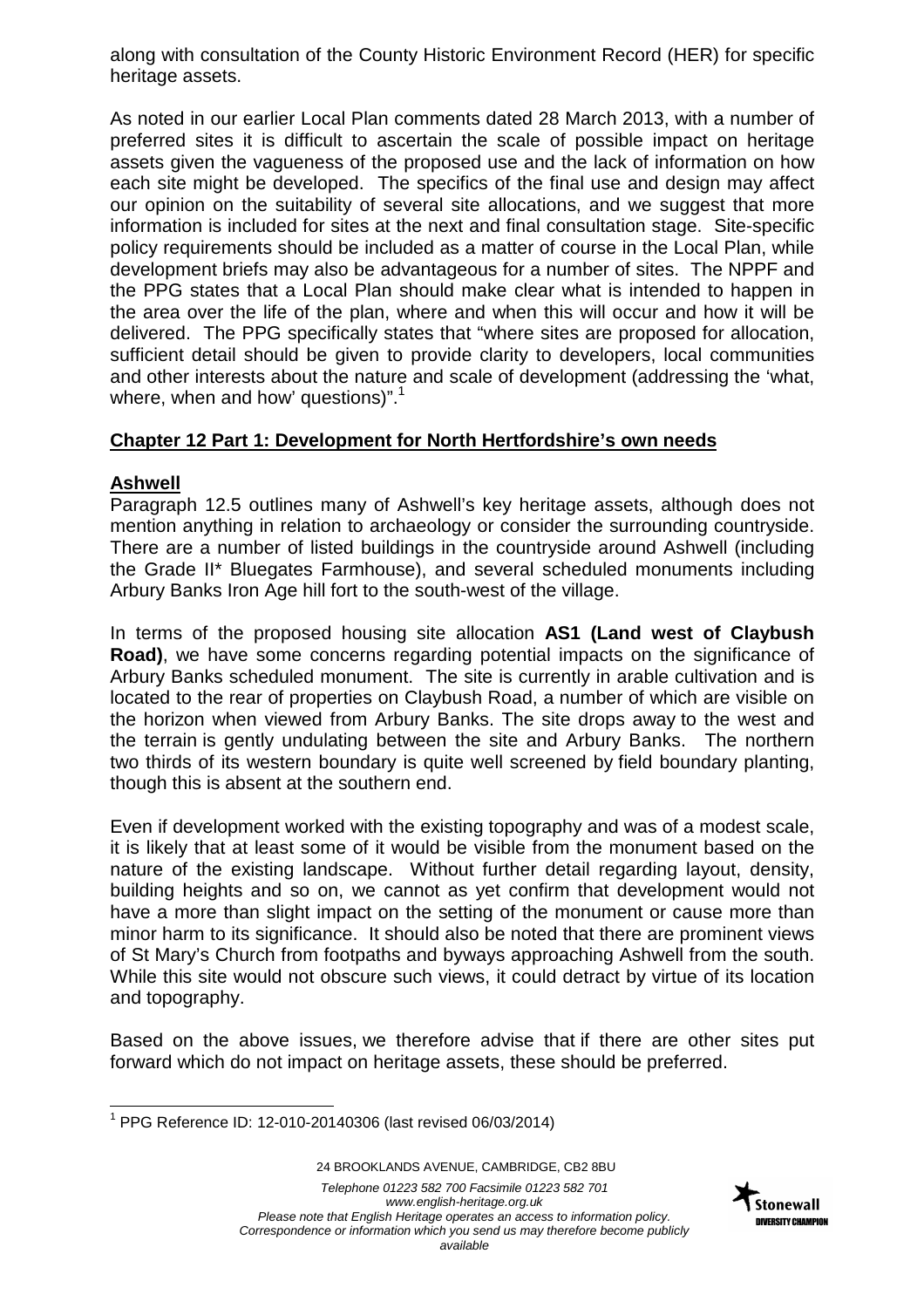along with consultation of the County Historic Environment Record (HER) for specific heritage assets.

As noted in our earlier Local Plan comments dated 28 March 2013, with a number of preferred sites it is difficult to ascertain the scale of possible impact on heritage assets given the vagueness of the proposed use and the lack of information on how each site might be developed. The specifics of the final use and design may affect our opinion on the suitability of several site allocations, and we suggest that more information is included for sites at the next and final consultation stage. Site-specific policy requirements should be included as a matter of course in the Local Plan, while development briefs may also be advantageous for a number of sites. The NPPF and the PPG states that a Local Plan should make clear what is intended to happen in the area over the life of the plan, where and when this will occur and how it will be delivered. The PPG specifically states that "where sites are proposed for allocation, sufficient detail should be given to provide clarity to developers, local communities and other interests about the nature and scale of development (addressing the 'what, where, when and how' questions)".<sup>1</sup>

# **Chapter 12 Part 1: Development for North Hertfordshire's own needs**

# **Ashwell**

Paragraph 12.5 outlines many of Ashwell's key heritage assets, although does not mention anything in relation to archaeology or consider the surrounding countryside. There are a number of listed buildings in the countryside around Ashwell (including the Grade II\* Bluegates Farmhouse), and several scheduled monuments including Arbury Banks Iron Age hill fort to the south-west of the village.

In terms of the proposed housing site allocation **AS1 (Land west of Claybush Road)**, we have some concerns regarding potential impacts on the significance of Arbury Banks scheduled monument. The site is currently in arable cultivation and is located to the rear of properties on Claybush Road, a number of which are visible on the horizon when viewed from Arbury Banks. The site drops away to the west and the terrain is gently undulating between the site and Arbury Banks. The northern two thirds of its western boundary is quite well screened by field boundary planting, though this is absent at the southern end.

Even if development worked with the existing topography and was of a modest scale, it is likely that at least some of it would be visible from the monument based on the nature of the existing landscape. Without further detail regarding layout, density, building heights and so on, we cannot as yet confirm that development would not have a more than slight impact on the setting of the monument or cause more than minor harm to its significance. It should also be noted that there are prominent views of St Mary's Church from footpaths and byways approaching Ashwell from the south. While this site would not obscure such views, it could detract by virtue of its location and topography.

Based on the above issues, we therefore advise that if there are other sites put forward which do not impact on heritage assets, these should be preferred.



 $\overline{\phantom{a}}$ <sup>1</sup> PPG Reference ID: 12-010-20140306 (last revised 06/03/2014)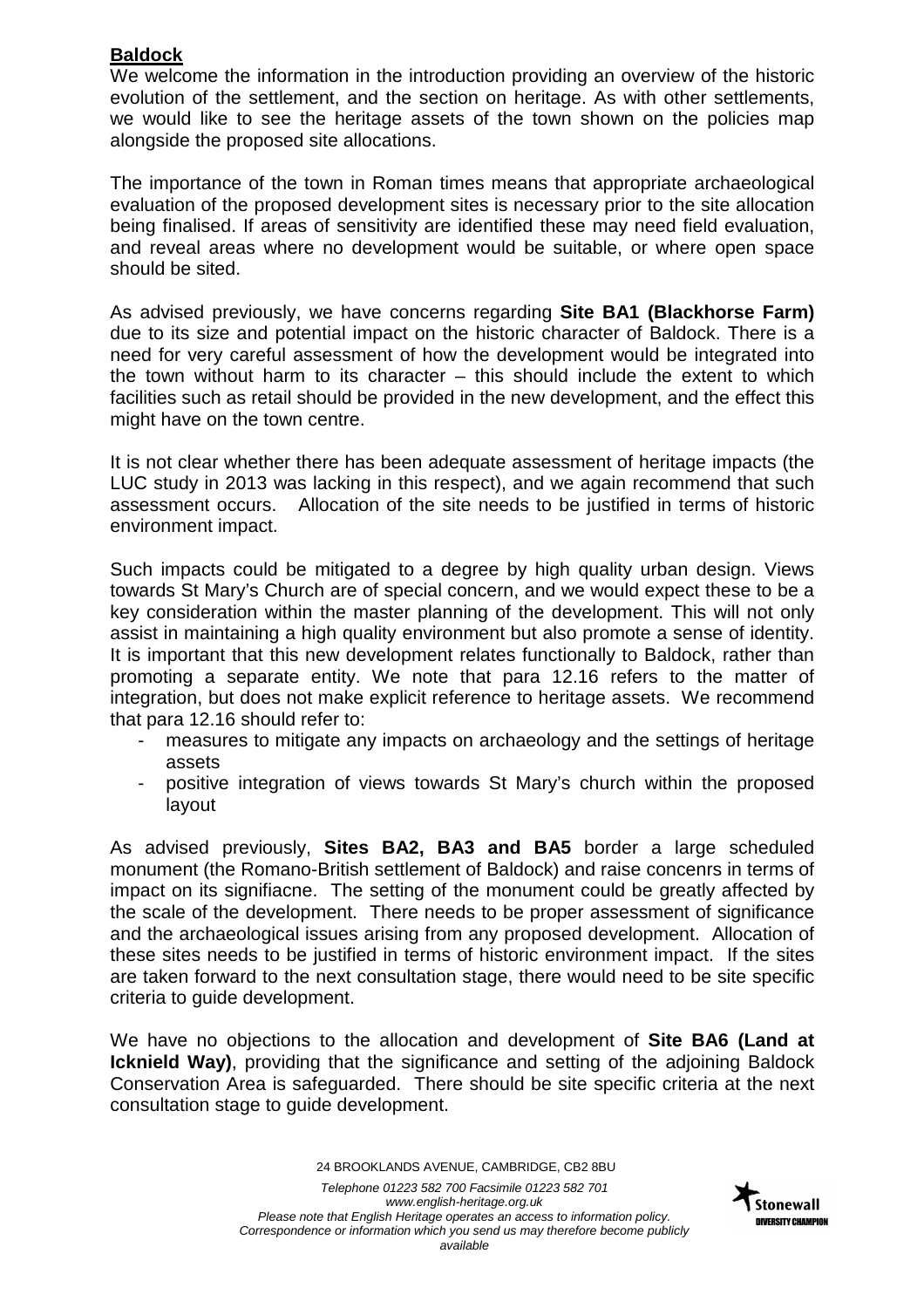# **Baldock**

We welcome the information in the introduction providing an overview of the historic evolution of the settlement, and the section on heritage. As with other settlements, we would like to see the heritage assets of the town shown on the policies map alongside the proposed site allocations.

The importance of the town in Roman times means that appropriate archaeological evaluation of the proposed development sites is necessary prior to the site allocation being finalised. If areas of sensitivity are identified these may need field evaluation, and reveal areas where no development would be suitable, or where open space should be sited.

As advised previously, we have concerns regarding **Site BA1 (Blackhorse Farm)** due to its size and potential impact on the historic character of Baldock. There is a need for very careful assessment of how the development would be integrated into the town without harm to its character  $-$  this should include the extent to which facilities such as retail should be provided in the new development, and the effect this might have on the town centre.

It is not clear whether there has been adequate assessment of heritage impacts (the LUC study in 2013 was lacking in this respect), and we again recommend that such assessment occurs. Allocation of the site needs to be justified in terms of historic environment impact.

Such impacts could be mitigated to a degree by high quality urban design. Views towards St Mary's Church are of special concern, and we would expect these to be a key consideration within the master planning of the development. This will not only assist in maintaining a high quality environment but also promote a sense of identity. It is important that this new development relates functionally to Baldock, rather than promoting a separate entity. We note that para 12.16 refers to the matter of integration, but does not make explicit reference to heritage assets. We recommend that para 12.16 should refer to:

- measures to mitigate any impacts on archaeology and the settings of heritage assets
- positive integration of views towards St Mary's church within the proposed layout

As advised previously, **Sites BA2, BA3 and BA5** border a large scheduled monument (the Romano-British settlement of Baldock) and raise concenrs in terms of impact on its signifiacne. The setting of the monument could be greatly affected by the scale of the development. There needs to be proper assessment of significance and the archaeological issues arising from any proposed development. Allocation of these sites needs to be justified in terms of historic environment impact. If the sites are taken forward to the next consultation stage, there would need to be site specific criteria to guide development.

We have no objections to the allocation and development of **Site BA6 (Land at Icknield Way)**, providing that the significance and setting of the adjoining Baldock Conservation Area is safeguarded. There should be site specific criteria at the next consultation stage to guide development.

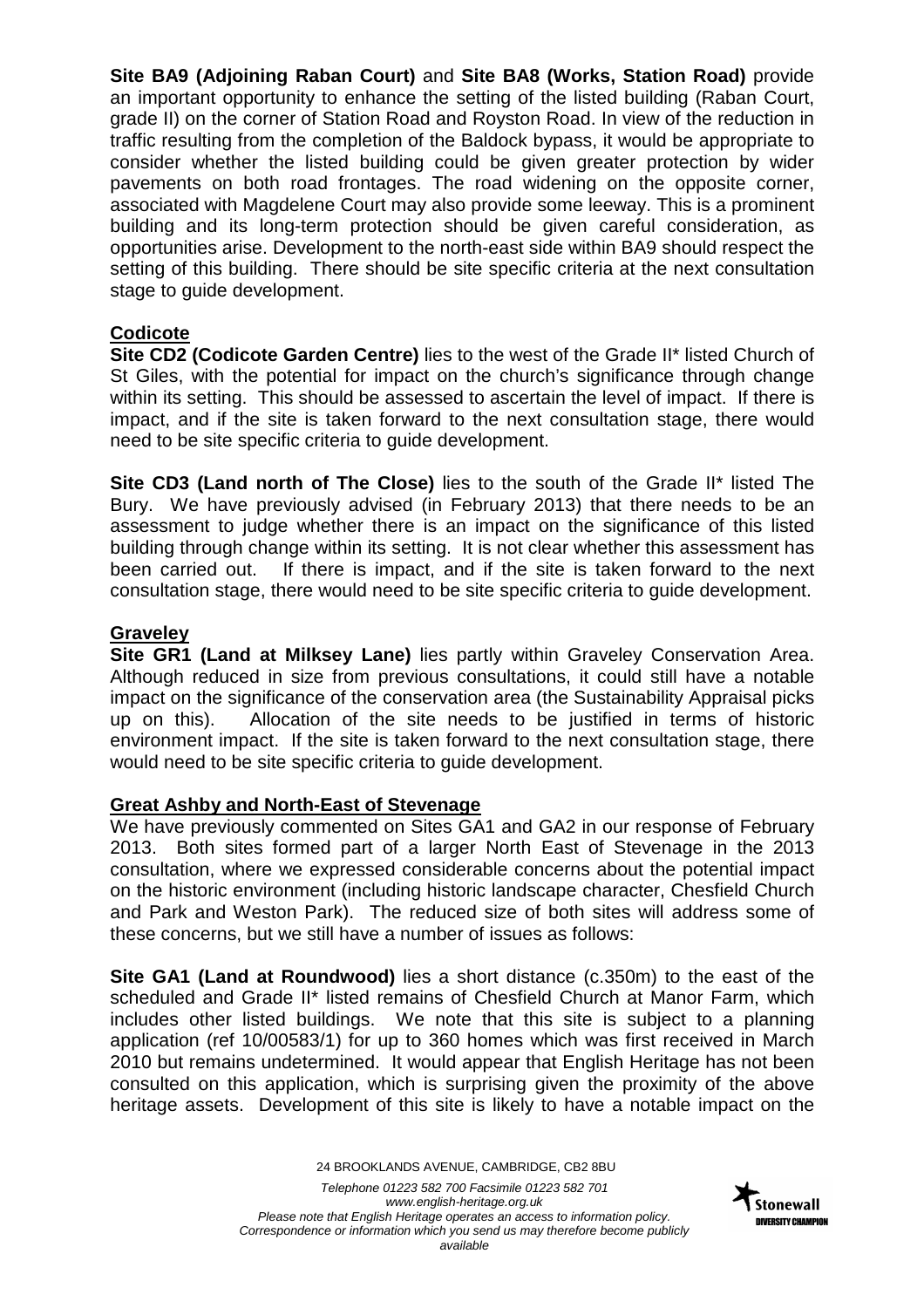**Site BA9 (Adjoining Raban Court)** and **Site BA8 (Works, Station Road)** provide an important opportunity to enhance the setting of the listed building (Raban Court, grade II) on the corner of Station Road and Royston Road. In view of the reduction in traffic resulting from the completion of the Baldock bypass, it would be appropriate to consider whether the listed building could be given greater protection by wider pavements on both road frontages. The road widening on the opposite corner, associated with Magdelene Court may also provide some leeway. This is a prominent building and its long-term protection should be given careful consideration, as opportunities arise. Development to the north-east side within BA9 should respect the setting of this building. There should be site specific criteria at the next consultation stage to guide development.

## **Codicote**

**Site CD2 (Codicote Garden Centre)** lies to the west of the Grade II\* listed Church of St Giles, with the potential for impact on the church's significance through change within its setting. This should be assessed to ascertain the level of impact. If there is impact, and if the site is taken forward to the next consultation stage, there would need to be site specific criteria to guide development.

**Site CD3 (Land north of The Close)** lies to the south of the Grade II\* listed The Bury. We have previously advised (in February 2013) that there needs to be an assessment to judge whether there is an impact on the significance of this listed building through change within its setting. It is not clear whether this assessment has been carried out. If there is impact, and if the site is taken forward to the next consultation stage, there would need to be site specific criteria to guide development.

## **Graveley**

**Site GR1 (Land at Milksey Lane)** lies partly within Graveley Conservation Area. Although reduced in size from previous consultations, it could still have a notable impact on the significance of the conservation area (the Sustainability Appraisal picks up on this). Allocation of the site needs to be justified in terms of historic environment impact. If the site is taken forward to the next consultation stage, there would need to be site specific criteria to guide development.

## **Great Ashby and North-East of Stevenage**

We have previously commented on Sites GA1 and GA2 in our response of February 2013. Both sites formed part of a larger North East of Stevenage in the 2013 consultation, where we expressed considerable concerns about the potential impact on the historic environment (including historic landscape character, Chesfield Church and Park and Weston Park). The reduced size of both sites will address some of these concerns, but we still have a number of issues as follows:

**Site GA1 (Land at Roundwood)** lies a short distance (c.350m) to the east of the scheduled and Grade II\* listed remains of Chesfield Church at Manor Farm, which includes other listed buildings. We note that this site is subject to a planning application (ref 10/00583/1) for up to 360 homes which was first received in March 2010 but remains undetermined. It would appear that English Heritage has not been consulted on this application, which is surprising given the proximity of the above heritage assets. Development of this site is likely to have a notable impact on the

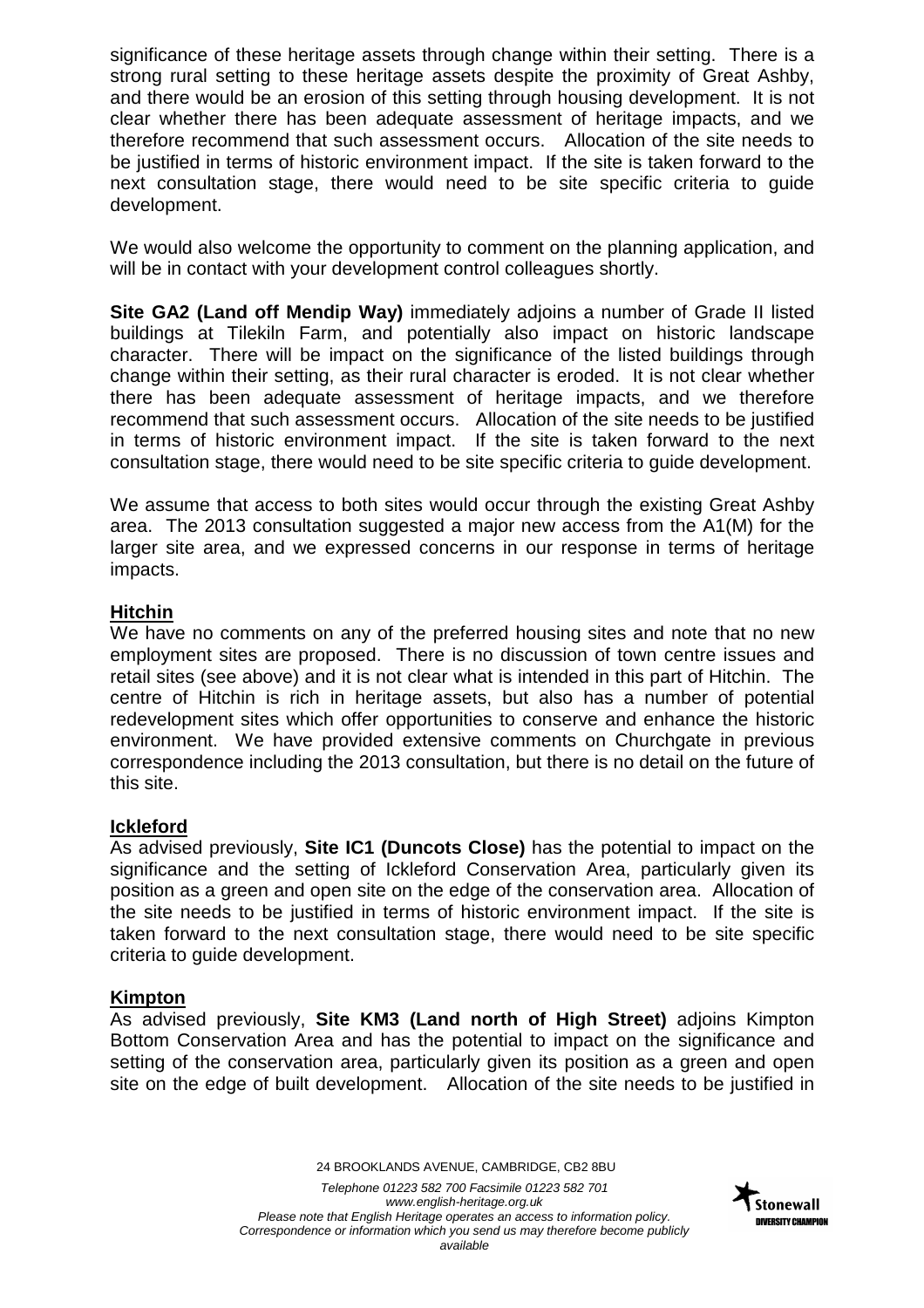significance of these heritage assets through change within their setting. There is a strong rural setting to these heritage assets despite the proximity of Great Ashby, and there would be an erosion of this setting through housing development. It is not clear whether there has been adequate assessment of heritage impacts, and we therefore recommend that such assessment occurs. Allocation of the site needs to be justified in terms of historic environment impact. If the site is taken forward to the next consultation stage, there would need to be site specific criteria to guide development.

We would also welcome the opportunity to comment on the planning application, and will be in contact with your development control colleagues shortly.

**Site GA2 (Land off Mendip Way)** immediately adjoins a number of Grade II listed buildings at Tilekiln Farm, and potentially also impact on historic landscape character. There will be impact on the significance of the listed buildings through change within their setting, as their rural character is eroded. It is not clear whether there has been adequate assessment of heritage impacts, and we therefore recommend that such assessment occurs. Allocation of the site needs to be justified in terms of historic environment impact. If the site is taken forward to the next consultation stage, there would need to be site specific criteria to guide development.

We assume that access to both sites would occur through the existing Great Ashby area. The 2013 consultation suggested a major new access from the A1(M) for the larger site area, and we expressed concerns in our response in terms of heritage impacts.

## **Hitchin**

We have no comments on any of the preferred housing sites and note that no new employment sites are proposed. There is no discussion of town centre issues and retail sites (see above) and it is not clear what is intended in this part of Hitchin. The centre of Hitchin is rich in heritage assets, but also has a number of potential redevelopment sites which offer opportunities to conserve and enhance the historic environment. We have provided extensive comments on Churchgate in previous correspondence including the 2013 consultation, but there is no detail on the future of this site.

## **Ickleford**

As advised previously, **Site IC1 (Duncots Close)** has the potential to impact on the significance and the setting of Ickleford Conservation Area, particularly given its position as a green and open site on the edge of the conservation area. Allocation of the site needs to be justified in terms of historic environment impact. If the site is taken forward to the next consultation stage, there would need to be site specific criteria to guide development.

## **Kimpton**

As advised previously, **Site KM3 (Land north of High Street)** adjoins Kimpton Bottom Conservation Area and has the potential to impact on the significance and setting of the conservation area, particularly given its position as a green and open site on the edge of built development. Allocation of the site needs to be justified in

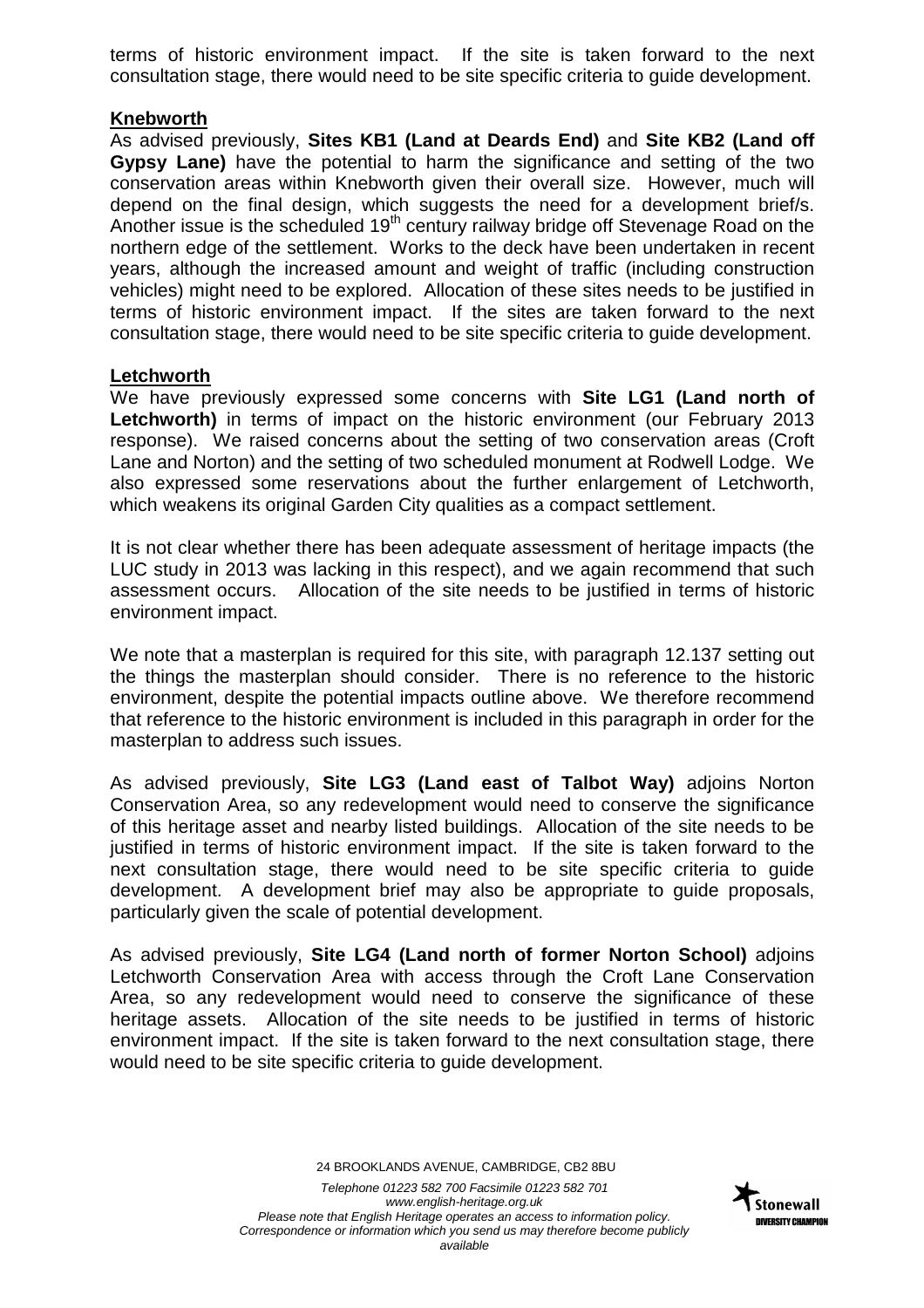terms of historic environment impact. If the site is taken forward to the next consultation stage, there would need to be site specific criteria to guide development.

## **Knebworth**

As advised previously, **Sites KB1 (Land at Deards End)** and **Site KB2 (Land off Gypsy Lane)** have the potential to harm the significance and setting of the two conservation areas within Knebworth given their overall size. However, much will depend on the final design, which suggests the need for a development brief/s. Another issue is the scheduled  $19<sup>th</sup>$  century railway bridge off Stevenage Road on the northern edge of the settlement. Works to the deck have been undertaken in recent years, although the increased amount and weight of traffic (including construction vehicles) might need to be explored. Allocation of these sites needs to be justified in terms of historic environment impact. If the sites are taken forward to the next consultation stage, there would need to be site specific criteria to guide development.

## **Letchworth**

We have previously expressed some concerns with **Site LG1 (Land north of Letchworth)** in terms of impact on the historic environment (our February 2013 response). We raised concerns about the setting of two conservation areas (Croft Lane and Norton) and the setting of two scheduled monument at Rodwell Lodge. We also expressed some reservations about the further enlargement of Letchworth, which weakens its original Garden City qualities as a compact settlement.

It is not clear whether there has been adequate assessment of heritage impacts (the LUC study in 2013 was lacking in this respect), and we again recommend that such assessment occurs. Allocation of the site needs to be justified in terms of historic environment impact.

We note that a masterplan is required for this site, with paragraph 12.137 setting out the things the masterplan should consider. There is no reference to the historic environment, despite the potential impacts outline above. We therefore recommend that reference to the historic environment is included in this paragraph in order for the masterplan to address such issues.

As advised previously, **Site LG3 (Land east of Talbot Way)** adjoins Norton Conservation Area, so any redevelopment would need to conserve the significance of this heritage asset and nearby listed buildings. Allocation of the site needs to be justified in terms of historic environment impact. If the site is taken forward to the next consultation stage, there would need to be site specific criteria to guide development. A development brief may also be appropriate to guide proposals, particularly given the scale of potential development.

As advised previously, **Site LG4 (Land north of former Norton School)** adjoins Letchworth Conservation Area with access through the Croft Lane Conservation Area, so any redevelopment would need to conserve the significance of these heritage assets. Allocation of the site needs to be justified in terms of historic environment impact. If the site is taken forward to the next consultation stage, there would need to be site specific criteria to guide development.

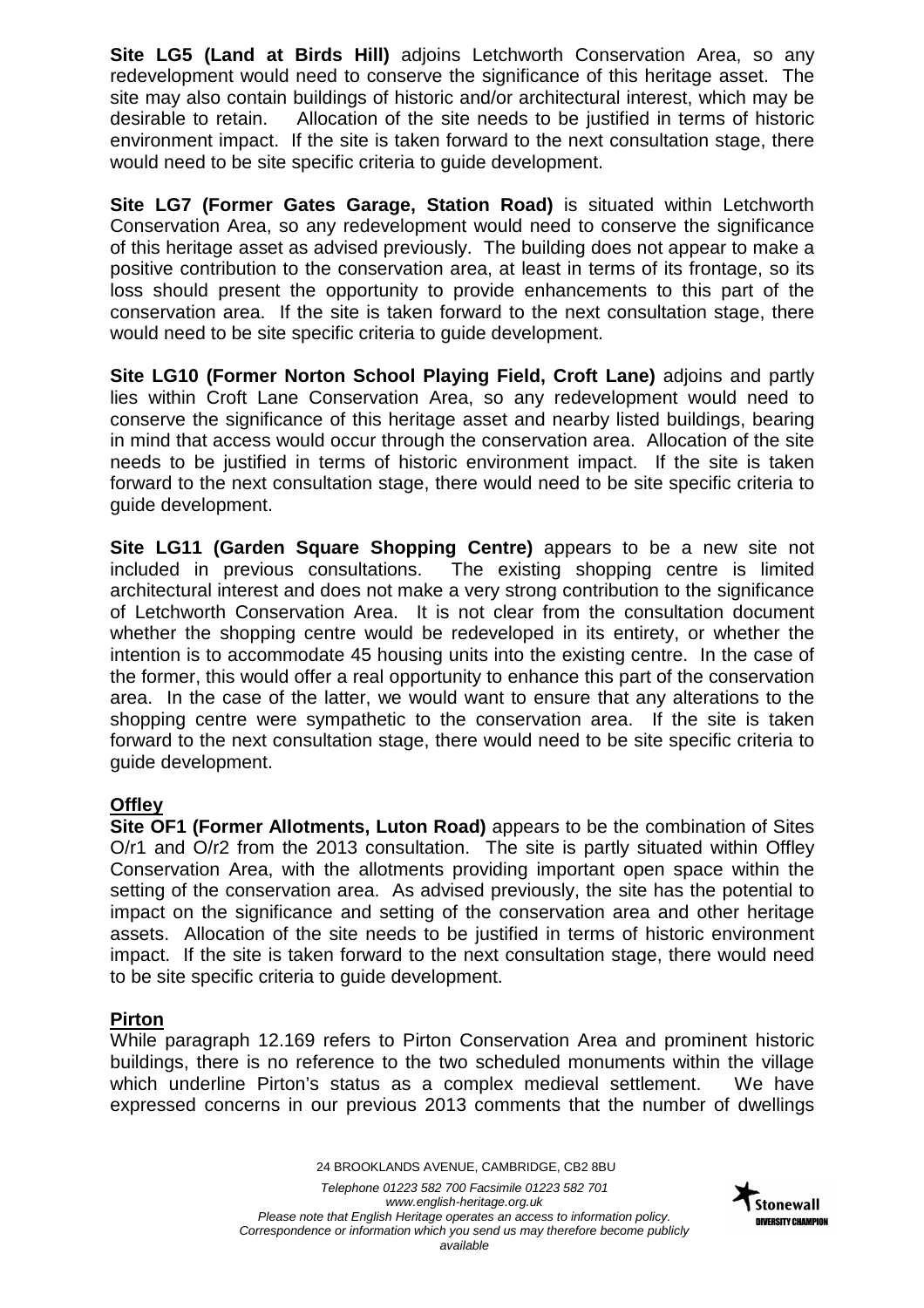**Site LG5 (Land at Birds Hill)** adjoins Letchworth Conservation Area, so any redevelopment would need to conserve the significance of this heritage asset. The site may also contain buildings of historic and/or architectural interest, which may be desirable to retain. Allocation of the site needs to be justified in terms of historic environment impact. If the site is taken forward to the next consultation stage, there would need to be site specific criteria to guide development.

**Site LG7 (Former Gates Garage, Station Road)** is situated within Letchworth Conservation Area, so any redevelopment would need to conserve the significance of this heritage asset as advised previously. The building does not appear to make a positive contribution to the conservation area, at least in terms of its frontage, so its loss should present the opportunity to provide enhancements to this part of the conservation area. If the site is taken forward to the next consultation stage, there would need to be site specific criteria to guide development.

**Site LG10 (Former Norton School Playing Field, Croft Lane)** adjoins and partly lies within Croft Lane Conservation Area, so any redevelopment would need to conserve the significance of this heritage asset and nearby listed buildings, bearing in mind that access would occur through the conservation area. Allocation of the site needs to be justified in terms of historic environment impact. If the site is taken forward to the next consultation stage, there would need to be site specific criteria to guide development.

**Site LG11 (Garden Square Shopping Centre)** appears to be a new site not included in previous consultations. The existing shopping centre is limited architectural interest and does not make a very strong contribution to the significance of Letchworth Conservation Area. It is not clear from the consultation document whether the shopping centre would be redeveloped in its entirety, or whether the intention is to accommodate 45 housing units into the existing centre. In the case of the former, this would offer a real opportunity to enhance this part of the conservation area. In the case of the latter, we would want to ensure that any alterations to the shopping centre were sympathetic to the conservation area. If the site is taken forward to the next consultation stage, there would need to be site specific criteria to guide development.

# **Offley**

**Site OF1 (Former Allotments, Luton Road)** appears to be the combination of Sites O/r1 and O/r2 from the 2013 consultation. The site is partly situated within Offley Conservation Area, with the allotments providing important open space within the setting of the conservation area. As advised previously, the site has the potential to impact on the significance and setting of the conservation area and other heritage assets. Allocation of the site needs to be justified in terms of historic environment impact. If the site is taken forward to the next consultation stage, there would need to be site specific criteria to guide development.

# **Pirton**

While paragraph 12.169 refers to Pirton Conservation Area and prominent historic buildings, there is no reference to the two scheduled monuments within the village which underline Pirton's status as a complex medieval settlement. We have expressed concerns in our previous 2013 comments that the number of dwellings

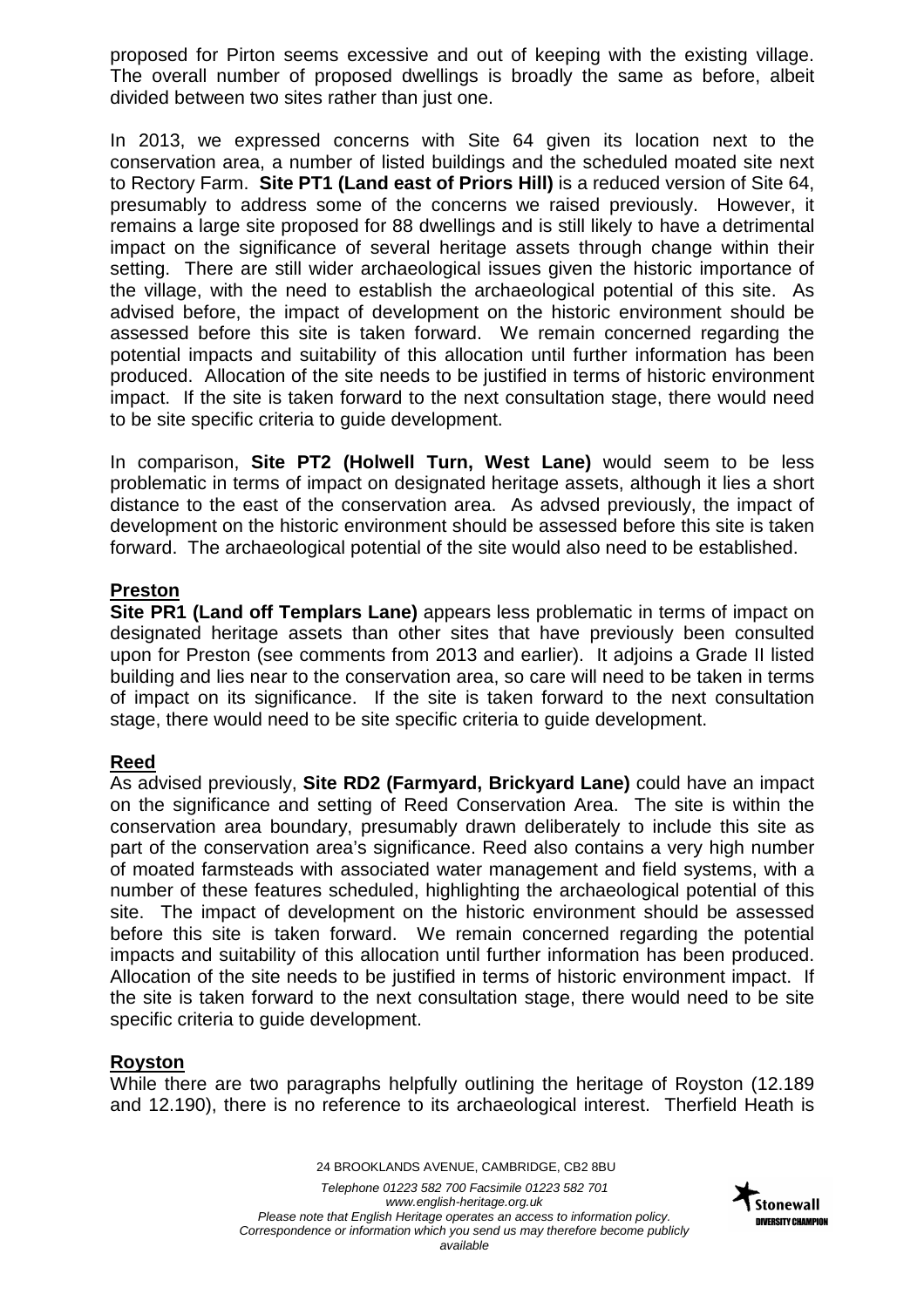proposed for Pirton seems excessive and out of keeping with the existing village. The overall number of proposed dwellings is broadly the same as before, albeit divided between two sites rather than just one.

In 2013, we expressed concerns with Site 64 given its location next to the conservation area, a number of listed buildings and the scheduled moated site next to Rectory Farm. **Site PT1 (Land east of Priors Hill)** is a reduced version of Site 64, presumably to address some of the concerns we raised previously. However, it remains a large site proposed for 88 dwellings and is still likely to have a detrimental impact on the significance of several heritage assets through change within their setting. There are still wider archaeological issues given the historic importance of the village, with the need to establish the archaeological potential of this site. As advised before, the impact of development on the historic environment should be assessed before this site is taken forward. We remain concerned regarding the potential impacts and suitability of this allocation until further information has been produced. Allocation of the site needs to be justified in terms of historic environment impact. If the site is taken forward to the next consultation stage, there would need to be site specific criteria to guide development.

In comparison, **Site PT2 (Holwell Turn, West Lane)** would seem to be less problematic in terms of impact on designated heritage assets, although it lies a short distance to the east of the conservation area. As advsed previously, the impact of development on the historic environment should be assessed before this site is taken forward. The archaeological potential of the site would also need to be established.

# **Preston**

**Site PR1 (Land off Templars Lane)** appears less problematic in terms of impact on designated heritage assets than other sites that have previously been consulted upon for Preston (see comments from 2013 and earlier). It adjoins a Grade II listed building and lies near to the conservation area, so care will need to be taken in terms of impact on its significance. If the site is taken forward to the next consultation stage, there would need to be site specific criteria to guide development.

# **Reed**

As advised previously, **Site RD2 (Farmyard, Brickyard Lane)** could have an impact on the significance and setting of Reed Conservation Area. The site is within the conservation area boundary, presumably drawn deliberately to include this site as part of the conservation area's significance. Reed also contains a very high number of moated farmsteads with associated water management and field systems, with a number of these features scheduled, highlighting the archaeological potential of this site. The impact of development on the historic environment should be assessed before this site is taken forward. We remain concerned regarding the potential impacts and suitability of this allocation until further information has been produced. Allocation of the site needs to be justified in terms of historic environment impact. If the site is taken forward to the next consultation stage, there would need to be site specific criteria to guide development.

# **Royston**

While there are two paragraphs helpfully outlining the heritage of Royston (12.189 and 12.190), there is no reference to its archaeological interest. Therfield Heath is

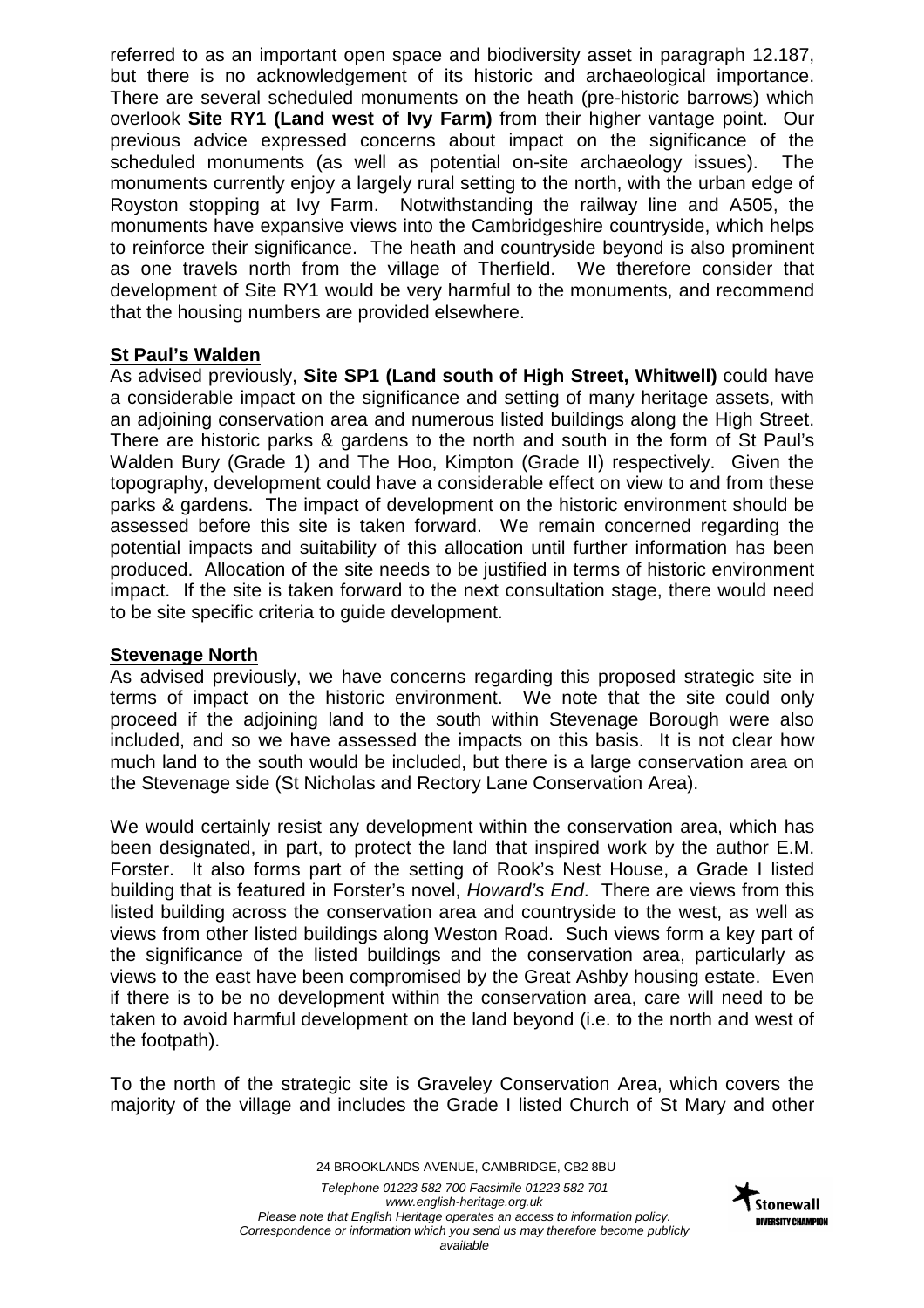referred to as an important open space and biodiversity asset in paragraph 12.187, but there is no acknowledgement of its historic and archaeological importance. There are several scheduled monuments on the heath (pre-historic barrows) which overlook **Site RY1 (Land west of Ivy Farm)** from their higher vantage point. Our previous advice expressed concerns about impact on the significance of the scheduled monuments (as well as potential on-site archaeology issues). The monuments currently enjoy a largely rural setting to the north, with the urban edge of Royston stopping at Ivy Farm. Notwithstanding the railway line and A505, the monuments have expansive views into the Cambridgeshire countryside, which helps to reinforce their significance. The heath and countryside beyond is also prominent as one travels north from the village of Therfield. We therefore consider that development of Site RY1 would be very harmful to the monuments, and recommend that the housing numbers are provided elsewhere.

## **St Paul's Walden**

As advised previously, **Site SP1 (Land south of High Street, Whitwell)** could have a considerable impact on the significance and setting of many heritage assets, with an adjoining conservation area and numerous listed buildings along the High Street. There are historic parks & gardens to the north and south in the form of St Paul's Walden Bury (Grade 1) and The Hoo, Kimpton (Grade II) respectively. Given the topography, development could have a considerable effect on view to and from these parks & gardens. The impact of development on the historic environment should be assessed before this site is taken forward. We remain concerned regarding the potential impacts and suitability of this allocation until further information has been produced. Allocation of the site needs to be justified in terms of historic environment impact. If the site is taken forward to the next consultation stage, there would need to be site specific criteria to guide development.

## **Stevenage North**

As advised previously, we have concerns regarding this proposed strategic site in terms of impact on the historic environment. We note that the site could only proceed if the adjoining land to the south within Stevenage Borough were also included, and so we have assessed the impacts on this basis. It is not clear how much land to the south would be included, but there is a large conservation area on the Stevenage side (St Nicholas and Rectory Lane Conservation Area).

We would certainly resist any development within the conservation area, which has been designated, in part, to protect the land that inspired work by the author E.M. Forster. It also forms part of the setting of Rook's Nest House, a Grade I listed building that is featured in Forster's novel, Howard's End. There are views from this listed building across the conservation area and countryside to the west, as well as views from other listed buildings along Weston Road. Such views form a key part of the significance of the listed buildings and the conservation area, particularly as views to the east have been compromised by the Great Ashby housing estate. Even if there is to be no development within the conservation area, care will need to be taken to avoid harmful development on the land beyond (i.e. to the north and west of the footpath).

To the north of the strategic site is Graveley Conservation Area, which covers the majority of the village and includes the Grade I listed Church of St Mary and other

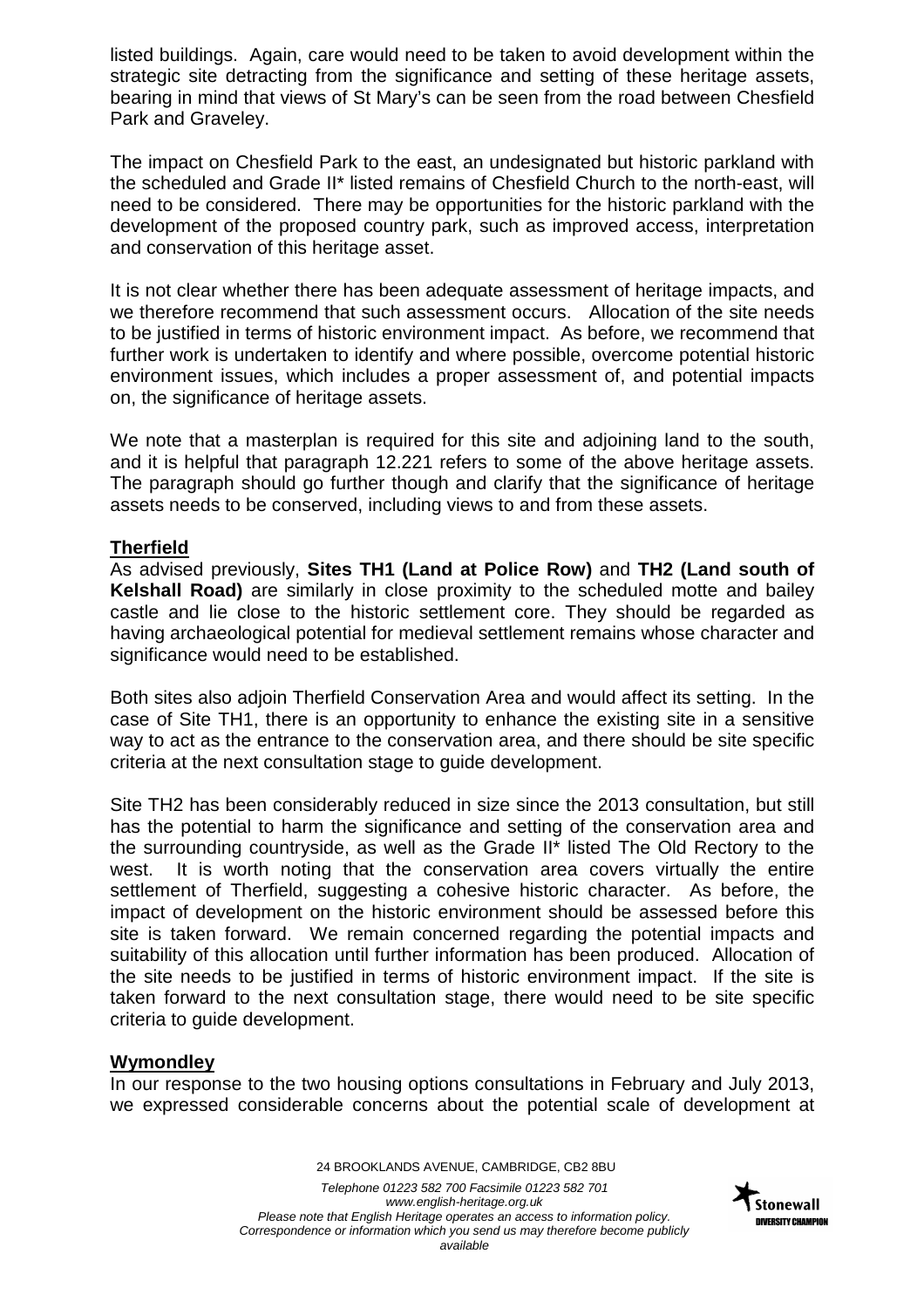listed buildings. Again, care would need to be taken to avoid development within the strategic site detracting from the significance and setting of these heritage assets, bearing in mind that views of St Mary's can be seen from the road between Chesfield Park and Graveley.

The impact on Chesfield Park to the east, an undesignated but historic parkland with the scheduled and Grade II\* listed remains of Chesfield Church to the north-east, will need to be considered. There may be opportunities for the historic parkland with the development of the proposed country park, such as improved access, interpretation and conservation of this heritage asset.

It is not clear whether there has been adequate assessment of heritage impacts, and we therefore recommend that such assessment occurs. Allocation of the site needs to be justified in terms of historic environment impact. As before, we recommend that further work is undertaken to identify and where possible, overcome potential historic environment issues, which includes a proper assessment of, and potential impacts on, the significance of heritage assets.

We note that a masterplan is required for this site and adjoining land to the south, and it is helpful that paragraph 12.221 refers to some of the above heritage assets. The paragraph should go further though and clarify that the significance of heritage assets needs to be conserved, including views to and from these assets.

## **Therfield**

As advised previously, **Sites TH1 (Land at Police Row)** and **TH2 (Land south of Kelshall Road)** are similarly in close proximity to the scheduled motte and bailey castle and lie close to the historic settlement core. They should be regarded as having archaeological potential for medieval settlement remains whose character and significance would need to be established.

Both sites also adjoin Therfield Conservation Area and would affect its setting. In the case of Site TH1, there is an opportunity to enhance the existing site in a sensitive way to act as the entrance to the conservation area, and there should be site specific criteria at the next consultation stage to guide development.

Site TH2 has been considerably reduced in size since the 2013 consultation, but still has the potential to harm the significance and setting of the conservation area and the surrounding countryside, as well as the Grade II\* listed The Old Rectory to the west. It is worth noting that the conservation area covers virtually the entire settlement of Therfield, suggesting a cohesive historic character. As before, the impact of development on the historic environment should be assessed before this site is taken forward. We remain concerned regarding the potential impacts and suitability of this allocation until further information has been produced. Allocation of the site needs to be justified in terms of historic environment impact. If the site is taken forward to the next consultation stage, there would need to be site specific criteria to guide development.

# **Wymondley**

In our response to the two housing options consultations in February and July 2013, we expressed considerable concerns about the potential scale of development at

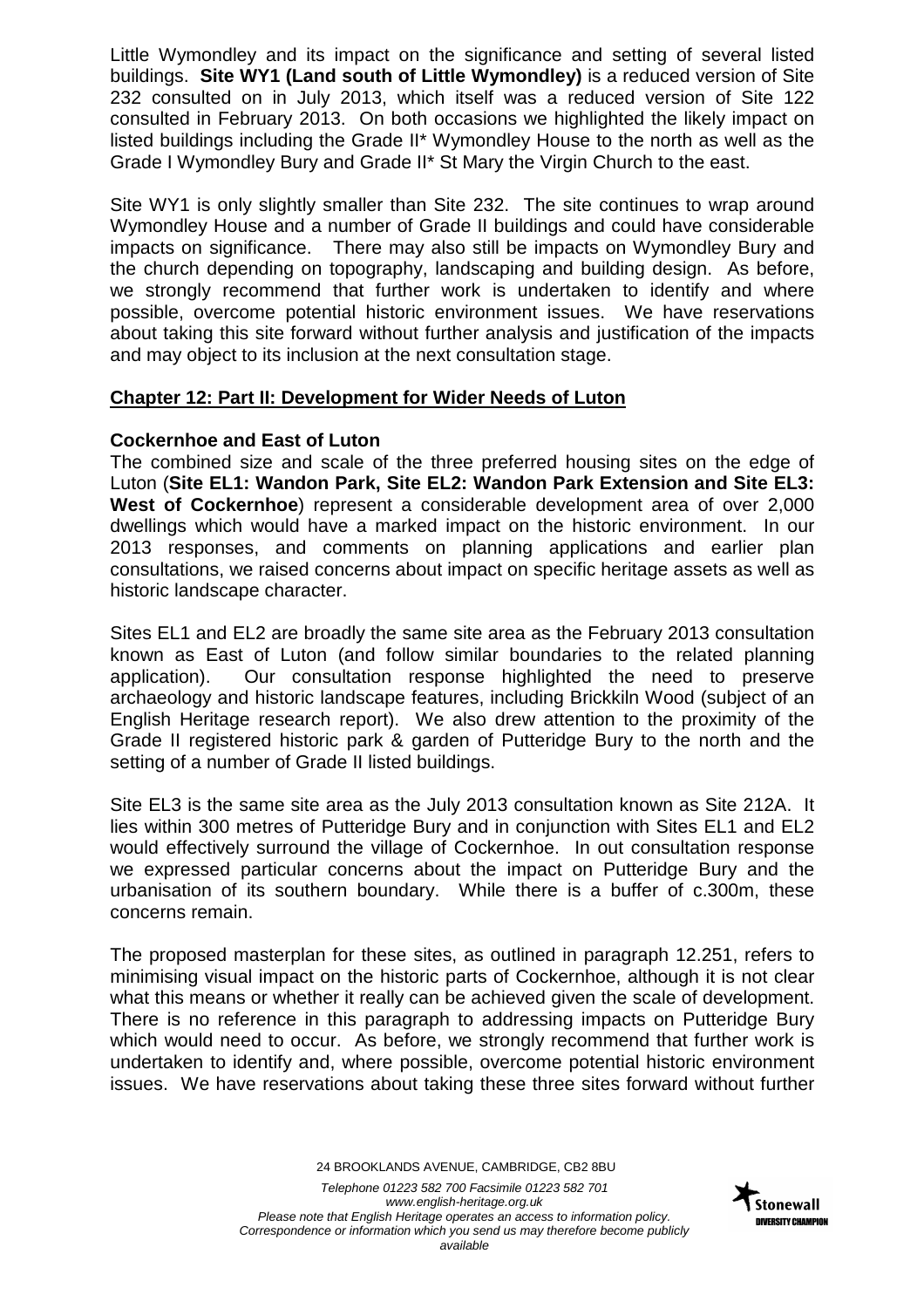Little Wymondley and its impact on the significance and setting of several listed buildings. **Site WY1 (Land south of Little Wymondley)** is a reduced version of Site 232 consulted on in July 2013, which itself was a reduced version of Site 122 consulted in February 2013. On both occasions we highlighted the likely impact on listed buildings including the Grade II\* Wymondley House to the north as well as the Grade I Wymondley Bury and Grade II\* St Mary the Virgin Church to the east.

Site WY1 is only slightly smaller than Site 232. The site continues to wrap around Wymondley House and a number of Grade II buildings and could have considerable impacts on significance. There may also still be impacts on Wymondley Bury and the church depending on topography, landscaping and building design. As before, we strongly recommend that further work is undertaken to identify and where possible, overcome potential historic environment issues. We have reservations about taking this site forward without further analysis and justification of the impacts and may object to its inclusion at the next consultation stage.

## **Chapter 12: Part II: Development for Wider Needs of Luton**

## **Cockernhoe and East of Luton**

The combined size and scale of the three preferred housing sites on the edge of Luton (**Site EL1: Wandon Park, Site EL2: Wandon Park Extension and Site EL3: West of Cockernhoe**) represent a considerable development area of over 2,000 dwellings which would have a marked impact on the historic environment. In our 2013 responses, and comments on planning applications and earlier plan consultations, we raised concerns about impact on specific heritage assets as well as historic landscape character.

Sites EL1 and EL2 are broadly the same site area as the February 2013 consultation known as East of Luton (and follow similar boundaries to the related planning application). Our consultation response highlighted the need to preserve archaeology and historic landscape features, including Brickkiln Wood (subject of an English Heritage research report). We also drew attention to the proximity of the Grade II registered historic park & garden of Putteridge Bury to the north and the setting of a number of Grade II listed buildings.

Site EL3 is the same site area as the July 2013 consultation known as Site 212A. It lies within 300 metres of Putteridge Bury and in conjunction with Sites EL1 and EL2 would effectively surround the village of Cockernhoe. In out consultation response we expressed particular concerns about the impact on Putteridge Bury and the urbanisation of its southern boundary. While there is a buffer of c.300m, these concerns remain.

The proposed masterplan for these sites, as outlined in paragraph 12.251, refers to minimising visual impact on the historic parts of Cockernhoe, although it is not clear what this means or whether it really can be achieved given the scale of development. There is no reference in this paragraph to addressing impacts on Putteridge Bury which would need to occur. As before, we strongly recommend that further work is undertaken to identify and, where possible, overcome potential historic environment issues. We have reservations about taking these three sites forward without further